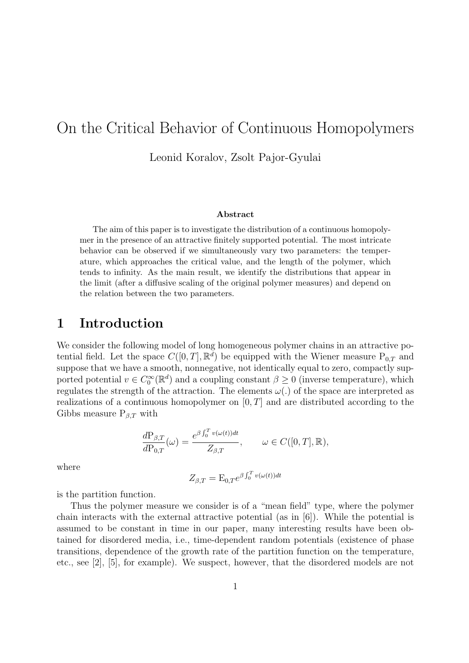# On the Critical Behavior of Continuous Homopolymers

Leonid Koralov, Zsolt Pajor-Gyulai

#### **Abstract**

The aim of this paper is to investigate the distribution of a continuous homopolymer in the presence of an attractive finitely supported potential. The most intricate behavior can be observed if we simultaneously vary two parameters: the temperature, which approaches the critical value, and the length of the polymer, which tends to infinity. As the main result, we identify the distributions that appear in the limit (after a diffusive scaling of the original polymer measures) and depend on the relation between the two parameters.

### **1 Introduction**

We consider the following model of long homogeneous polymer chains in an attractive potential field. Let the space  $C([0,T], \mathbb{R}^d)$  be equipped with the Wiener measure  $P_{0,T}$  and suppose that we have a smooth, nonnegative, not identically equal to zero, compactly supported potential  $v \in C_0^{\infty}(\mathbb{R}^d)$  and a coupling constant  $\beta \ge 0$  (inverse temperature), which regulates the strength of the attraction. The elements  $\omega(.)$  of the space are interpreted as realizations of a continuous homopolymer on [0*, T*] and are distributed according to the Gibbs measure  $P_{\beta,T}$  with

$$
\frac{d\mathcal{P}_{\beta,T}}{d\mathcal{P}_{0,T}}(\omega) = \frac{e^{\beta \int_0^T v(\omega(t))dt}}{Z_{\beta,T}}, \qquad \omega \in C([0,T], \mathbb{R}),
$$

where

$$
Z_{\beta,T} = \mathcal{E}_{0,T} e^{\beta \int_0^T v(\omega(t))dt}
$$

is the partition function.

Thus the polymer measure we consider is of a "mean field" type, where the polymer chain interacts with the external attractive potential (as in [6]). While the potential is assumed to be constant in time in our paper, many interesting results have been obtained for disordered media, i.e., time-dependent random potentials (existence of phase transitions, dependence of the growth rate of the partition function on the temperature, etc., see [2], [5], for example). We suspect, however, that the disordered models are not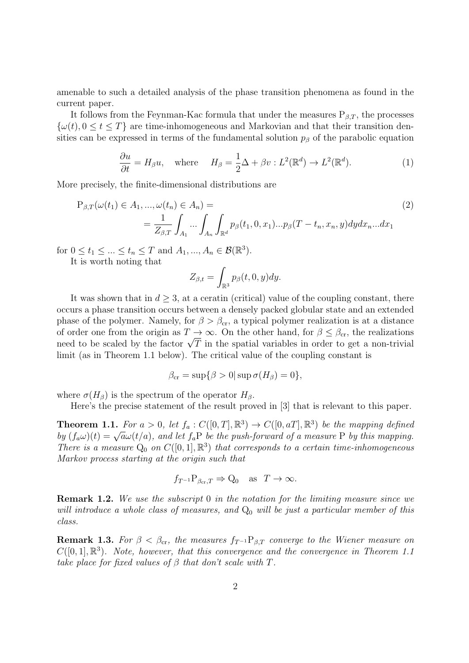amenable to such a detailed analysis of the phase transition phenomena as found in the current paper.

It follows from the Feynman-Kac formula that under the measures  $P_{\beta,T}$ , the processes  $\{\omega(t), 0 \le t \le T\}$  are time-inhomogeneous and Markovian and that their transition densities can be expressed in terms of the fundamental solution  $p<sub>\beta</sub>$  of the parabolic equation

$$
\frac{\partial u}{\partial t} = H_{\beta} u, \quad \text{where} \quad H_{\beta} = \frac{1}{2} \Delta + \beta v : L^{2}(\mathbb{R}^{d}) \to L^{2}(\mathbb{R}^{d}). \tag{1}
$$

More precisely, the finite-dimensional distributions are

$$
P_{\beta,T}(\omega(t_1) \in A_1, ..., \omega(t_n) \in A_n) =
$$
  
= 
$$
\frac{1}{Z_{\beta,T}} \int_{A_1} ... \int_{A_n} \int_{\mathbb{R}^d} p_{\beta}(t_1, 0, x_1) ... p_{\beta}(T - t_n, x_n, y) dy dx_n ... dx_1
$$
 (2)

for  $0 \le t_1 \le ... \le t_n \le T$  and  $A_1, ..., A_n \in \mathcal{B}(\mathbb{R}^3)$ .

It is worth noting that

$$
Z_{\beta,t} = \int_{\mathbb{R}^3} p_\beta(t,0,y) dy.
$$

It was shown that in  $d \geq 3$ , at a ceratin (critical) value of the coupling constant, there occurs a phase transition occurs between a densely packed globular state and an extended phase of the polymer. Namely, for  $\beta > \beta_{cr}$ , a typical polymer realization is at a distance of order one from the origin as  $T \to \infty$ . On the other hand, for  $\beta \leq \beta_{cr}$ , the realizations or order one from the origin as  $I \to \infty$ . On the other hand, for  $\rho \leq \rho_{cr}$ , the realizations need to be scaled by the factor  $\sqrt{T}$  in the spatial variables in order to get a non-trivial limit (as in Theorem 1.1 below). The critical value of the coupling constant is

$$
\beta_{\rm cr} = \sup \{ \beta > 0 | \sup \sigma(H_\beta) = 0 \},\
$$

where  $\sigma(H_\beta)$  is the spectrum of the operator  $H_\beta$ .

Here's the precise statement of the result proved in [3] that is relevant to this paper.

**Theorem 1.1.** For  $a > 0$ , let  $f_a : C([0, T], \mathbb{R}^3) \to C([0, aT], \mathbb{R}^3)$  be the mapping defined **b**y  $(f_a\omega)(t) = \sqrt{a}\omega(t/a)$ , and let  $f_aP$  be the push-forward of a measure P by this mapping. *There is a measure*  $Q_0$  *on*  $C([0,1], \mathbb{R}^3)$  *that corresponds to a certain time-inhomogeneous Markov process starting at the origin such that*

$$
f_{T^{-1}}P_{\beta_{\text{cr}},T} \Rightarrow Q_0 \text{ as } T \to \infty.
$$

**Remark 1.2.** *We use the subscript* 0 *in the notation for the limiting measure since we will introduce a whole class of measures, and*  $Q_0$  *will be just a particular member of this class.*

**Remark 1.3.** For  $\beta < \beta_{cr}$ , the measures  $f_{T^{-1}}P_{\beta,T}$  converge to the Wiener measure on  $C([0,1], \mathbb{R}^3)$ . Note, however, that this convergence and the convergence in Theorem 1.1 *take place for fixed values of*  $\beta$  *that don't scale with*  $T$ *.*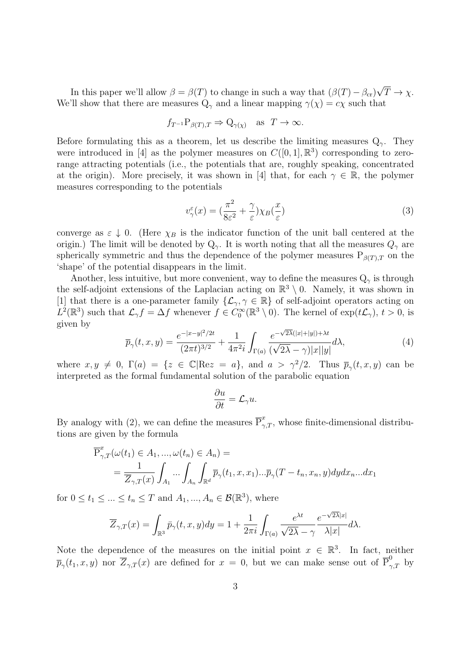In this paper we'll allow  $\beta = \beta(T)$  to change in such a way that  $(\beta(T) - \beta_{cr})$ *√*  $T \rightarrow \chi$ . We'll show that there are measures  $Q_\gamma$  and a linear mapping  $\gamma(\chi) = c\chi$  such that

$$
f_{T^{-1}}P_{\beta(T),T} \Rightarrow Q_{\gamma(\chi)}
$$
 as  $T \to \infty$ .

Before formulating this as a theorem, let us describe the limiting measures  $Q_{\gamma}$ . They were introduced in [4] as the polymer measures on  $C([0,1],\mathbb{R}^3)$  corresponding to zerorange attracting potentials (i.e., the potentials that are, roughly speaking, concentrated at the origin). More precisely, it was shown in [4] that, for each  $\gamma \in \mathbb{R}$ , the polymer measures corresponding to the potentials

$$
v_{\gamma}^{\varepsilon}(x) = \left(\frac{\pi^2}{8\varepsilon^2} + \frac{\gamma}{\varepsilon}\right) \chi_B\left(\frac{x}{\varepsilon}\right) \tag{3}
$$

converge as  $\varepsilon \downarrow 0$ . (Here  $\chi_B$  is the indicator function of the unit ball centered at the origin.) The limit will be denoted by  $Q_\gamma$ . It is worth noting that all the measures  $Q_\gamma$  are spherically symmetric and thus the dependence of the polymer measures  $P_{\beta(T),T}$  on the 'shape' of the potential disappears in the limit.

Another, less intuitive, but more convenient, way to define the measures  $Q_{\gamma}$  is through the self-adjoint extensions of the Laplacian acting on  $\mathbb{R}^3 \setminus 0$ . Namely, it was shown in [1] that there is a one-parameter family  $\{\mathcal{L}_{\gamma}, \gamma \in \mathbb{R}\}\$  of self-adjoint operators acting on  $L^2(\mathbb{R}^3)$  such that  $\mathcal{L}_{\gamma} f = \Delta f$  whenever  $f \in C_0^{\infty}(\mathbb{R}^3 \setminus 0)$ . The kernel of  $\exp(t\mathcal{L}_{\gamma})$ ,  $t > 0$ , is given by *√*

$$
\overline{p}_{\gamma}(t,x,y) = \frac{e^{-|x-y|^2/2t}}{(2\pi t)^{3/2}} + \frac{1}{4\pi^2 i} \int_{\Gamma(a)} \frac{e^{-\sqrt{2\lambda}(|x|+|y|)+\lambda t}}{(\sqrt{2\lambda}-\gamma)|x||y|} d\lambda,
$$
\n(4)

where  $x, y \neq 0$ ,  $\Gamma(a) = \{z \in \mathbb{C} | \text{Re} z = a\}$ , and  $a > \gamma^2/2$ . Thus  $\overline{p}_{\gamma}(t, x, y)$  can be interpreted as the formal fundamental solution of the parabolic equation

$$
\frac{\partial u}{\partial t} = \mathcal{L}_{\gamma} u.
$$

By analogy with (2), we can define the measures  $\overline{P}^x_{\gamma,T}$ , whose finite-dimensional distributions are given by the formula

$$
\overline{P}_{\gamma,T}^x(\omega(t_1) \in A_1, ..., \omega(t_n) \in A_n) =
$$
\n
$$
= \frac{1}{\overline{Z}_{\gamma,T}(x)} \int_{A_1} ... \int_{A_n} \int_{\mathbb{R}^d} \overline{p}_{\gamma}(t_1, x, x_1) ... \overline{p}_{\gamma}(T - t_n, x_n, y) dy dx_n ... dx_1
$$

for  $0 \le t_1 \le \ldots \le t_n \le T$  and  $A_1, \ldots, A_n \in \mathcal{B}(\mathbb{R}^3)$ , where

$$
\overline{Z}_{\gamma,T}(x) = \int_{\mathbb{R}^3} \bar{p}_{\gamma}(t,x,y) dy = 1 + \frac{1}{2\pi i} \int_{\Gamma(a)} \frac{e^{\lambda t}}{\sqrt{2\lambda} - \gamma} \frac{e^{-\sqrt{2\lambda}|x|}}{\lambda|x|} d\lambda.
$$

Note the dependence of the measures on the initial point  $x \in \mathbb{R}^3$ . In fact, neither  $\overline{p}_{\gamma}(t_1, x, y)$  nor  $\overline{Z}_{\gamma, T}(x)$  are defined for  $x = 0$ , but we can make sense out of  $\overline{P}_{\gamma, T}^0$  by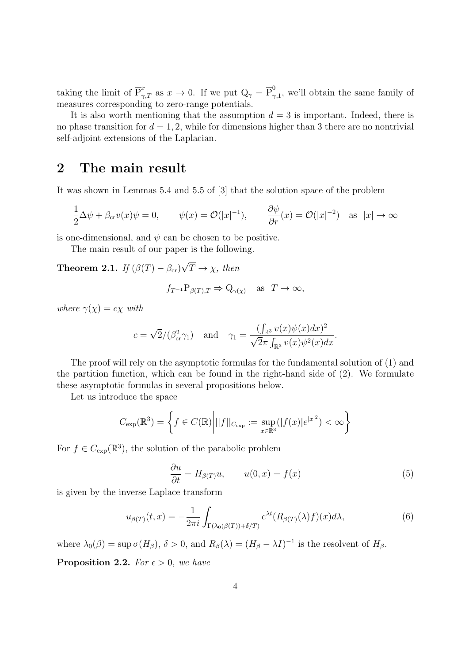taking the limit of  $\overline{P}_{\gamma,T}^x$  as  $x \to 0$ . If we put  $Q_\gamma = \overline{P}_{\gamma}^0$  $\gamma_{,1}^{\circ}$ , we'll obtain the same family of measures corresponding to zero-range potentials.

It is also worth mentioning that the assumption  $d = 3$  is important. Indeed, there is no phase transition for  $d = 1, 2$ , while for dimensions higher than 3 there are no nontrivial self-adjoint extensions of the Laplacian.

### **2 The main result**

It was shown in Lemmas 5.4 and 5.5 of [3] that the solution space of the problem

$$
\frac{1}{2}\Delta\psi + \beta_{\rm cr}v(x)\psi = 0, \qquad \psi(x) = \mathcal{O}(|x|^{-1}), \qquad \frac{\partial\psi}{\partial r}(x) = \mathcal{O}(|x|^{-2}) \quad \text{as} \quad |x| \to \infty
$$

is one-dimensional, and  $\psi$  can be chosen to be positive.

The main result of our paper is the following.

**Theorem 2.1.** *If*  $(\beta(T) - \beta_{cr})$ *√*  $T \rightarrow \chi$ *, then* 

$$
f_{T^{-1}}P_{\beta(T),T} \Rightarrow Q_{\gamma(\chi)}
$$
 as  $T \to \infty$ ,

*where*  $\gamma(\chi) = c\chi$  *with* 

$$
c = \sqrt{2}/(\beta_{\rm cr}^2 \gamma_1)
$$
 and  $\gamma_1 = \frac{(\int_{\mathbb{R}^3} v(x)\psi(x)dx)^2}{\sqrt{2}\pi \int_{\mathbb{R}^3} v(x)\psi^2(x)dx}.$ 

The proof will rely on the asymptotic formulas for the fundamental solution of (1) and the partition function, which can be found in the right-hand side of (2). We formulate these asymptotic formulas in several propositions below.

Let us introduce the space

$$
C_{\exp}(\mathbb{R}^3) = \left\{ f \in C(\mathbb{R}) \middle| ||f||_{C_{\exp}} := \sup_{x \in \mathbb{R}^3} (|f(x)|e^{|x|^2}) < \infty \right\}
$$

For  $f \in C_{\text{exp}}(\mathbb{R}^3)$ , the solution of the parabolic problem

$$
\frac{\partial u}{\partial t} = H_{\beta(T)} u, \qquad u(0, x) = f(x) \tag{5}
$$

is given by the inverse Laplace transform

$$
u_{\beta(T)}(t,x) = -\frac{1}{2\pi i} \int_{\Gamma(\lambda_0(\beta(T))+\delta/T)} e^{\lambda t} (R_{\beta(T)}(\lambda)f)(x) d\lambda,
$$
 (6)

where  $\lambda_0(\beta) = \sup \sigma(H_\beta)$ ,  $\delta > 0$ , and  $R_\beta(\lambda) = (H_\beta - \lambda I)^{-1}$  is the resolvent of  $H_\beta$ .

**Proposition 2.2.** *For*  $\epsilon > 0$ *, we have*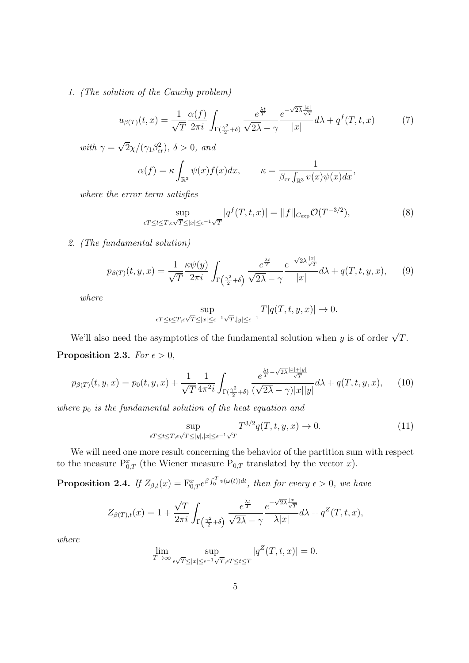*1. (The solution of the Cauchy problem)*

$$
u_{\beta(T)}(t,x) = \frac{1}{\sqrt{T}} \frac{\alpha(f)}{2\pi i} \int_{\Gamma(\frac{\gamma^2}{2}+\delta)} \frac{e^{\frac{\lambda t}{T}}}{\sqrt{2\lambda} - \gamma} \frac{e^{-\sqrt{2\lambda}\frac{|x|}{\sqrt{T}}}}{|x|} d\lambda + q^f(T,t,x) \tag{7}
$$

*with*  $\gamma =$ *√*  $\sqrt{2}\chi/(\gamma_1\beta_{\rm cr}^2), \delta > 0, \text{ and}$ 

$$
\alpha(f) = \kappa \int_{\mathbb{R}^3} \psi(x) f(x) dx, \qquad \kappa = \frac{1}{\beta_{\rm cr} \int_{\mathbb{R}^3} v(x) \psi(x) dx},
$$

*where the error term satisfies*

$$
\sup_{\epsilon T \le t \le T, \epsilon \sqrt{T} \le |x| \le \epsilon^{-1} \sqrt{T}} |q^f(T, t, x)| = ||f||_{C_{\exp}} \mathcal{O}(T^{-3/2}),\tag{8}
$$

*2. (The fundamental solution)*

$$
p_{\beta(T)}(t,y,x) = \frac{1}{\sqrt{T}} \frac{\kappa \psi(y)}{2\pi i} \int_{\Gamma\left(\frac{\gamma^2}{2} + \delta\right)} \frac{e^{\frac{\lambda t}{T}}}{\sqrt{2\lambda} - \gamma} \frac{e^{-\sqrt{2\lambda} \frac{|x|}{\sqrt{T}}}}{|x|} d\lambda + q(T,t,y,x), \quad (9)
$$

*where*

$$
\sup_{\epsilon T \le t \le T, \epsilon \sqrt{T} \le |x| \le \epsilon^{-1} \sqrt{T}, |y| \le \epsilon^{-1}} T |q(T, t, y, x)| \to 0.
$$

We'll also need the asymptotics of the fundamental solution when *y* is of order  $\sqrt{T}$ . **Proposition 2.3.** *For*  $\epsilon > 0$ *,* 

$$
p_{\beta(T)}(t, y, x) = p_0(t, y, x) + \frac{1}{\sqrt{T}} \frac{1}{4\pi^2 i} \int_{\Gamma(\frac{\gamma^2}{2} + \delta)} \frac{e^{\frac{\lambda t}{T} - \sqrt{2\lambda} \frac{|x| + |y|}{\sqrt{T}}}}{(\sqrt{2\lambda} - \gamma)|x||y|} d\lambda + q(T, t, y, x), \quad (10)
$$

*where p*<sup>0</sup> *is the fundamental solution of the heat equation and*

$$
\sup_{\epsilon T \le t \le T, \epsilon \sqrt{T} \le |y|, |x| \le \epsilon^{-1} \sqrt{T}} T^{3/2} q(T, t, y, x) \to 0.
$$
\n(11)

We will need one more result concerning the behavior of the partition sum with respect to the measure  $P_{0,T}^x$  (the Wiener measure  $P_{0,T}$  translated by the vector *x*).

**Proposition 2.4.** If  $Z_{\beta,t}(x) = \mathbb{E}_{0,T}^x e^{\beta \int_0^T v(\omega(t))dt}$ , then for every  $\epsilon > 0$ , we have

$$
Z_{\beta(T),t}(x) = 1 + \frac{\sqrt{T}}{2\pi i} \int_{\Gamma\left(\frac{\gamma^2}{2} + \delta\right)} \frac{e^{\frac{\lambda t}{T}}}{\sqrt{2\lambda} - \gamma} \frac{e^{-\sqrt{2\lambda}\frac{|x|}{\sqrt{T}}}}{\lambda|x|} d\lambda + q^Z(T,t,x),
$$

*where*

$$
\lim_{T \to \infty} \sup_{\epsilon \sqrt{T} \le |x| \le \epsilon^{-1} \sqrt{T}, \epsilon T \le t \le T} |q^Z(T, t, x)| = 0.
$$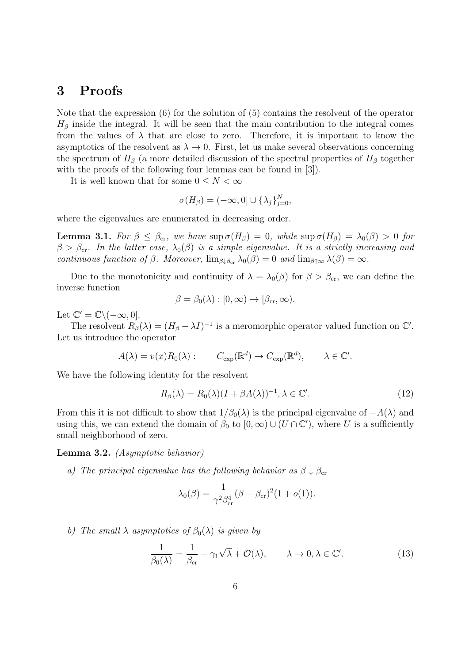### **3 Proofs**

Note that the expression (6) for the solution of (5) contains the resolvent of the operator  $H_\beta$  inside the integral. It will be seen that the main contribution to the integral comes from the values of  $\lambda$  that are close to zero. Therefore, it is important to know the asymptotics of the resolvent as  $\lambda \to 0$ . First, let us make several observations concerning the spectrum of  $H_\beta$  (a more detailed discussion of the spectral properties of  $H_\beta$  together with the proofs of the following four lemmas can be found in [3]).

It is well known that for some  $0 \leq N < \infty$ 

$$
\sigma(H_{\beta}) = (-\infty, 0] \cup {\lambda_j}_{j=0}^N,
$$

where the eigenvalues are enumerated in decreasing order.

**Lemma 3.1.** *For*  $\beta \leq \beta_{cr}$ , we have sup  $\sigma(H_\beta) = 0$ , while sup  $\sigma(H_\beta) = \lambda_0(\beta) > 0$  for  $\beta > \beta_{cr}$ *. In the latter case,*  $\lambda_0(\beta)$  *is a simple eigenvalue. It is a strictly increasing and continuous function of*  $\beta$ *. Moreover,*  $\lim_{\beta \downarrow \beta_{cr}} \lambda_0(\beta) = 0$  *and*  $\lim_{\beta \uparrow \infty} \lambda(\beta) = \infty$ *.* 

Due to the monotonicity and continuity of  $\lambda = \lambda_0(\beta)$  for  $\beta > \beta_{cr}$ , we can define the inverse function

$$
\beta = \beta_0(\lambda) : [0, \infty) \to [\beta_{cr}, \infty).
$$

Let  $\mathbb{C}' = \mathbb{C} \setminus (-\infty, 0].$ 

The resolvent  $R_{\beta}(\lambda) = (H_{\beta} - \lambda I)^{-1}$  is a meromorphic operator valued function on  $\mathbb{C}'$ . Let us introduce the operator

$$
A(\lambda) = v(x)R_0(\lambda):
$$
  $C_{\text{exp}}(\mathbb{R}^d) \to C_{\text{exp}}(\mathbb{R}^d), \qquad \lambda \in \mathbb{C}^{\prime}.$ 

We have the following identity for the resolvent

$$
R_{\beta}(\lambda) = R_0(\lambda)(I + \beta A(\lambda))^{-1}, \lambda \in \mathbb{C}^{\prime}.
$$
\n(12)

From this it is not difficult to show that  $1/\beta_0(\lambda)$  is the principal eigenvalue of  $-A(\lambda)$  and using this, we can extend the domain of  $\beta_0$  to  $[0, \infty) \cup (U \cap \mathbb{C}')$ , where *U* is a sufficiently small neighborhood of zero.

**Lemma 3.2.** *(Asymptotic behavior)*

*a) The principal eigenvalue has the following behavior as*  $\beta \downarrow \beta_c$ 

$$
\lambda_0(\beta) = \frac{1}{\gamma^2 \beta_{\rm cr}^4} (\beta - \beta_{\rm cr})^2 (1 + o(1)).
$$

*b) The small*  $\lambda$  *asymptotics of*  $\beta_0(\lambda)$  *is given by* 

$$
\frac{1}{\beta_0(\lambda)} = \frac{1}{\beta_{\rm cr}} - \gamma_1 \sqrt{\lambda} + \mathcal{O}(\lambda), \qquad \lambda \to 0, \lambda \in \mathbb{C}^{\prime}.
$$
 (13)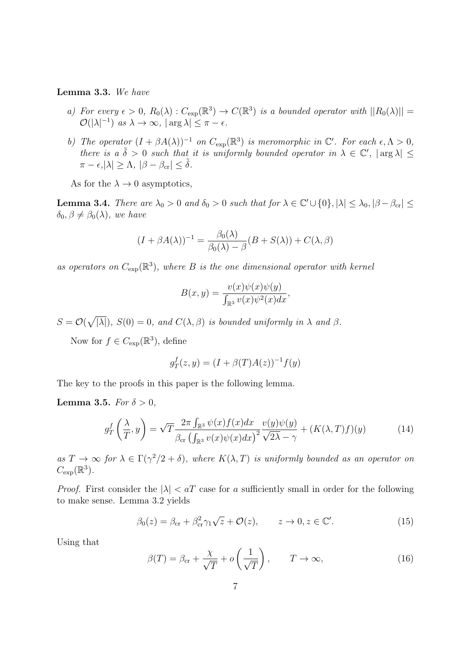#### **Lemma 3.3.** *We have*

- *a) For every*  $\epsilon > 0$ ,  $R_0(\lambda)$ :  $C_{\exp}(\mathbb{R}^3) \to C(\mathbb{R}^3)$  *is a bounded operator with*  $||R_0(\lambda)|| =$  $\mathcal{O}(|\lambda|^{-1})$  *as*  $\lambda \to \infty$ ,  $|\arg \lambda| \leq \pi - \epsilon$ .
- *b) The operator*  $(I + \beta A(\lambda))^{-1}$  *on*  $C_{\exp}(\mathbb{R}^3)$  *is meromorphic in*  $\mathbb{C}'$ *. For each*  $\epsilon, \Lambda > 0$ *, there is a*  $\tilde{\delta} > 0$  *such that it is uniformly bounded operator in*  $\lambda \in \mathbb{C}'$ ,  $|\arg \lambda| \leq$  $\pi - \epsilon, |\lambda| \geq \Lambda, |\beta - \beta_{cr}| \leq \tilde{\delta}.$

As for the  $\lambda \to 0$  asymptotics,

**Lemma 3.4.** There are  $\lambda_0 > 0$  and  $\delta_0 > 0$  such that for  $\lambda \in \mathbb{C}' \cup \{0\}, |\lambda| \leq \lambda_0, |\beta - \beta_{cr}| \leq$  $\delta_0, \beta \neq \beta_0(\lambda)$ *, we have* 

$$
(I + \beta A(\lambda))^{-1} = \frac{\beta_0(\lambda)}{\beta_0(\lambda) - \beta}(B + S(\lambda)) + C(\lambda, \beta)
$$

as operators on  $C_{\text{exp}}(\mathbb{R}^3)$ , where *B* is the one dimensional operator with kernel

$$
B(x,y) = \frac{v(x)\psi(x)\psi(y)}{\int_{\mathbb{R}^3} v(x)\psi^2(x)dx},
$$

 $S = \mathcal{O}(\sqrt{|\lambda|}), S(0) = 0$ , and  $C(\lambda, \beta)$  is bounded uniformly in  $\lambda$  and  $\beta$ .

Now for  $f \in C_{\exp}(\mathbb{R}^3)$ , define

$$
g_T^f(z, y) = (I + \beta(T)A(z))^{-1}f(y)
$$

The key to the proofs in this paper is the following lemma.

#### **Lemma** 3.5. *For*  $\delta > 0$ *,*

$$
g_T^f\left(\frac{\lambda}{T}, y\right) = \sqrt{T} \frac{2\pi \int_{\mathbb{R}^3} \psi(x) f(x) dx}{\beta_{\text{cr}} \left(\int_{\mathbb{R}^3} v(x) \psi(x) dx\right)^2} \frac{v(y) \psi(y)}{\sqrt{2\lambda} - \gamma} + (K(\lambda, T) f)(y) \tag{14}
$$

 $as T \to \infty$  *for*  $\lambda \in \Gamma(\gamma^2/2 + \delta)$ *, where*  $K(\lambda, T)$  *is uniformly bounded as an operator on*  $C_{\exp}(\mathbb{R}^3)$ .

*Proof.* First consider the  $|\lambda| < aT$  case for *a* sufficiently small in order for the following to make sense. Lemma 3.2 yields

$$
\beta_0(z) = \beta_{\rm cr} + \beta_{\rm cr}^2 \gamma_1 \sqrt{z} + \mathcal{O}(z), \qquad z \to 0, z \in \mathbb{C}^\prime.
$$
 (15)

Using that

$$
\beta(T) = \beta_{\rm cr} + \frac{\chi}{\sqrt{T}} + o\left(\frac{1}{\sqrt{T}}\right), \qquad T \to \infty,
$$
\n(16)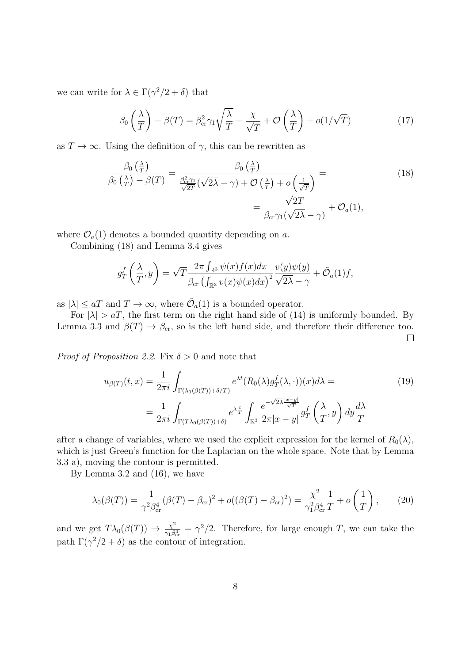we can write for  $\lambda \in \Gamma(\gamma^2/2 + \delta)$  that

$$
\beta_0 \left( \frac{\lambda}{T} \right) - \beta(T) = \beta_{\text{cr}}^2 \gamma_1 \sqrt{\frac{\lambda}{T}} - \frac{\chi}{\sqrt{T}} + \mathcal{O}\left( \frac{\lambda}{T} \right) + o(1/\sqrt{T}) \tag{17}
$$

as  $T \to \infty$ . Using the definition of  $\gamma$ , this can be rewritten as

$$
\frac{\beta_0\left(\frac{\lambda}{T}\right)}{\beta_0\left(\frac{\lambda}{T}\right) - \beta(T)} = \frac{\beta_0\left(\frac{\lambda}{T}\right)}{\frac{\beta_{\text{cr}}^2 \gamma_1}{\sqrt{2T}}(\sqrt{2\lambda} - \gamma) + \mathcal{O}\left(\frac{\lambda}{T}\right) + o\left(\frac{1}{\sqrt{T}}\right)} = \frac{\sqrt{2T}}{\beta_{\text{cr}} \gamma_1(\sqrt{2\lambda} - \gamma)} + \mathcal{O}_a(1),\tag{18}
$$

where  $\mathcal{O}_a(1)$  denotes a bounded quantity depending on *a*.

Combining (18) and Lemma 3.4 gives

$$
g_T^f\left(\frac{\lambda}{T},y\right) = \sqrt{T} \frac{2\pi \int_{\mathbb{R}^3} \psi(x)f(x)dx}{\beta_{\rm cr} \left(\int_{\mathbb{R}^3} v(x)\psi(x)dx\right)^2} \frac{v(y)\psi(y)}{\sqrt{2\lambda - \gamma}} + \tilde{\mathcal{O}}_a(1)f,
$$

as  $|\lambda| \le aT$  and  $T \to \infty$ , where  $\tilde{\mathcal{O}}_a(1)$  is a bounded operator.

For  $|\lambda| > aT$ , the first term on the right hand side of (14) is uniformly bounded. By Lemma 3.3 and  $\beta(T) \rightarrow \beta_{cr}$ , so is the left hand side, and therefore their difference too.  $\Box$ 

*Proof of Proposition 2.2*. Fix *δ >* 0 and note that

$$
u_{\beta(T)}(t,x) = \frac{1}{2\pi i} \int_{\Gamma(\lambda_0(\beta(T))+\delta/T)} e^{\lambda t} (R_0(\lambda) g_T^f(\lambda, \cdot))(x) d\lambda =
$$
  

$$
= \frac{1}{2\pi i} \int_{\Gamma(T\lambda_0(\beta(T))+\delta)} e^{\lambda \frac{t}{T}} \int_{\mathbb{R}^3} \frac{e^{-\sqrt{2\lambda} \frac{|x-y|}{\sqrt{T}}}}{2\pi |x-y|} g_T^f\left(\frac{\lambda}{T}, y\right) dy \frac{d\lambda}{T}
$$
 (19)

after a change of variables, where we used the explicit expression for the kernel of  $R_0(\lambda)$ , which is just Green's function for the Laplacian on the whole space. Note that by Lemma 3.3 a), moving the contour is permitted.

By Lemma 3.2 and (16), we have

$$
\lambda_0(\beta(T)) = \frac{1}{\gamma^2 \beta_{\rm cr}^4} (\beta(T) - \beta_{\rm cr})^2 + o((\beta(T) - \beta_{\rm cr})^2) = \frac{\chi^2}{\gamma_1^2 \beta_{\rm cr}^4} \frac{1}{T} + o\left(\frac{1}{T}\right),\tag{20}
$$

and we get  $T\lambda_0(\beta(T)) \rightarrow \frac{\chi^2}{\gamma_0 \beta}$  $\frac{\chi^2}{\gamma_1 \beta_{cr}^4} = \gamma^2/2$ . Therefore, for large enough *T*, we can take the path  $\Gamma(\gamma^2/2 + \delta)$  as the contour of integration.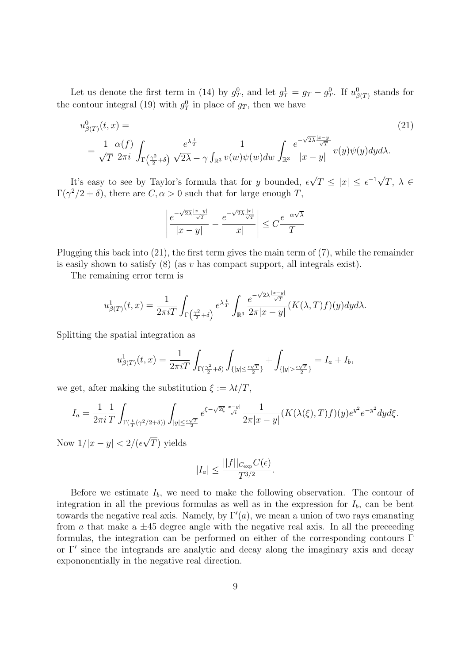Let us denote the first term in (14) by  $g_T^0$ , and let  $g_T^1 = g_T - g_T^0$ . If  $u_{\beta(T)}^0$  stands for the contour integral (19) with  $g_T^0$  in place of  $g_T$ , then we have

$$
u_{\beta(T)}^0(t,x) =
$$
\n
$$
= \frac{1}{\sqrt{T}} \frac{\alpha(f)}{2\pi i} \int_{\Gamma\left(\frac{\gamma^2}{2} + \delta\right)} \frac{e^{\lambda \frac{t}{T}}}{\sqrt{2\lambda} - \gamma} \frac{1}{\int_{\mathbb{R}^3} v(w)\psi(w)dw} \int_{\mathbb{R}^3} \frac{e^{-\sqrt{2\lambda} \frac{|x-y|}{\sqrt{T}}}}{|x-y|} v(y)\psi(y)dy d\lambda.
$$
\n(21)

It's easy to see by Taylor's formula that for *y* bounded,  $\epsilon$ *√*  $\overline{T} \leq |x| \leq \epsilon^{-1} \sqrt{2}$ *T*, *λ ∈*  $\Gamma(\gamma^2/2 + \delta)$ , there are  $C, \alpha > 0$  such that for large enough *T*,

$$
\left|\frac{e^{-\sqrt{2\lambda}\frac{|x-y|}{\sqrt{T}}}}{|x-y|}-\frac{e^{-\sqrt{2\lambda}\frac{|x|}{\sqrt{T}}}}{|x|}\right|\leq C\frac{e^{-\alpha\sqrt{\lambda}}}{T}
$$

Plugging this back into (21), the first term gives the main term of (7), while the remainder is easily shown to satisfy (8) (as *v* has compact support, all integrals exist).

The remaining error term is

$$
u_{\beta(T)}^1(t,x) = \frac{1}{2\pi i T} \int_{\Gamma\left(\frac{\gamma^2}{2} + \delta\right)} e^{\lambda \frac{t}{T}} \int_{\mathbb{R}^3} \frac{e^{-\sqrt{2\lambda} \frac{|x-y|}{\sqrt{T}}}}{2\pi |x-y|} (K(\lambda, T) f)(y) dy d\lambda.
$$

Splitting the spatial integration as

$$
u_{\beta(T)}^1(t,x) = \frac{1}{2\pi i T} \int_{\Gamma(\frac{\gamma^2}{2} + \delta)} \int_{\{|y| \le \frac{\epsilon \sqrt{T}}{2}\}} + \int_{\{|y| > \frac{\epsilon \sqrt{T}}{2}\}} = I_a + I_b,
$$

we get, after making the substitution  $\xi := \lambda t/T$ ,

$$
I_a = \frac{1}{2\pi i} \frac{1}{T} \int_{\Gamma(\frac{t}{T}(\gamma^2/2 + \delta))} \int_{|y| \le \frac{\epsilon \sqrt{T}}{2}} e^{\xi - \sqrt{2\xi} \frac{|x - y|}{\sqrt{t}}} \frac{1}{2\pi |x - y|} (K(\lambda(\xi), T) f)(y) e^{y^2} e^{-y^2} dy d\xi.
$$

Now  $1/|x-y| < 2/(\epsilon$ *√ T*) yields

$$
|I_a| \le \frac{||f||_{C_{\exp}} C(\epsilon)}{T^{3/2}}.
$$

Before we estimate  $I_b$ , we need to make the following observation. The contour of integration in all the previous formulas as well as in the expression for  $I<sub>b</sub>$ , can be bent towards the negative real axis. Namely, by  $\Gamma'(a)$ , we mean a union of two rays emanating from *a* that make a  $\pm 45$  degree angle with the negative real axis. In all the preceeding formulas, the integration can be performed on either of the corresponding contours Γ or Γ*′* since the integrands are analytic and decay along the imaginary axis and decay expononentially in the negative real direction.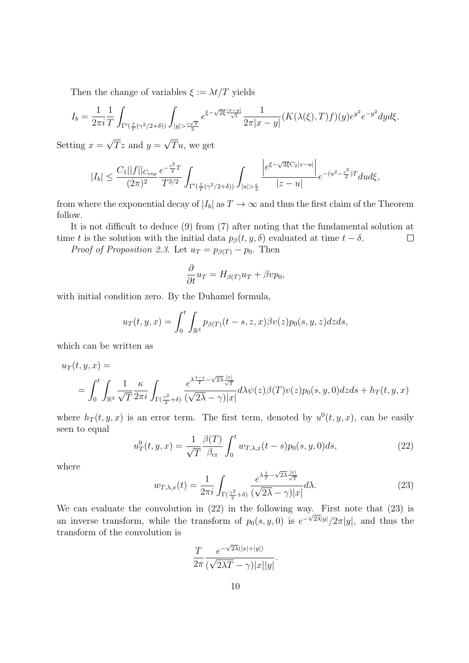Then the change of variables  $\xi := \lambda t/T$  yields

$$
I_b = \frac{1}{2\pi i} \frac{1}{T} \int_{\Gamma'(\frac{t}{T}(\gamma^2/2+\delta))} \int_{|y| > \frac{\epsilon \sqrt{T}}{2}} e^{\xi - \sqrt{2\xi} \frac{|x-y|}{\sqrt{t}}} \frac{1}{2\pi |x-y|} (K(\lambda(\xi), T) f)(y) e^{y^2} e^{-y^2} dy d\xi.
$$

Setting  $x =$ *√*  $Tz$  and  $y=$ *√ T u*, we get

$$
|I_b| \leq \frac{C_1 ||f||_{C_{\exp}}}{(2\pi)^2} \frac{e^{-\frac{\epsilon^2}{2}T}}{T^{3/2}} \int_{\Gamma'(\frac{t}{T}(\gamma^2/2 + \delta))} \int_{|u| > \frac{\epsilon}{2}} \frac{\left| e^{\xi - \sqrt{2\xi}C_2 |z - u|} \right|}{|z - u|} e^{-(u^2 - \frac{\epsilon^2}{2})T} du d\xi,
$$

from where the exponential decay of  $|I_b|$  as  $T \to \infty$  and thus the first claim of the Theorem follow.

It is not difficult to deduce (9) from (7) after noting that the fundamental solution at time *t* is the solution with the initial data  $p_\beta(t, y, \delta)$  evaluated at time  $t - \delta$ .  $\Box$ 

*Proof of Proposition* 2.3. Let  $u_T = p_{\beta(T)} - p_0$ . Then

$$
\frac{\partial}{\partial t}u_T = H_{\beta(T)}u_T + \beta vp_0,
$$

with initial condition zero. By the Duhamel formula,

$$
u_T(t, y, x) = \int_0^t \int_{\mathbb{R}^3} p_{\beta(T)}(t - s, z, x) \beta v(z) p_0(s, y, z) dz ds,
$$

which can be written as

$$
u_T(t, y, x) =
$$
  
= 
$$
\int_0^t \int_{\mathbb{R}^3} \frac{1}{\sqrt{T}} \frac{\kappa}{2\pi i} \int_{\Gamma(\frac{\gamma^2}{2} + \delta)} \frac{e^{\lambda \frac{t-s}{T} - \sqrt{2\lambda} \frac{|x|}{\sqrt{T}}}}{(\sqrt{2\lambda} - \gamma)|x|} d\lambda \psi(z) \beta(T) v(z) p_0(s, y, 0) dz ds + h_T(t, y, x)
$$

where  $h_T(t, y, x)$  is an error term. The first term, denoted by  $u^0(t, y, x)$ , can be easily seen to equal

$$
u_T^0(t, y, x) = \frac{1}{\sqrt{T}} \frac{\beta(T)}{\beta_{\rm cr}} \int_0^t w_{T, \lambda, x}(t - s) p_0(s, y, 0) ds,
$$
 (22)

where

$$
w_{T,\lambda,x}(t) = \frac{1}{2\pi i} \int_{\Gamma(\frac{\gamma^2}{2} + \delta)} \frac{e^{\lambda \frac{t}{T} - \sqrt{2\lambda} \frac{|x|}{\sqrt{T}}}}{(\sqrt{2\lambda} - \gamma)|x|} d\lambda.
$$
 (23)

We can evaluate the convolution in (22) in the following way. First note that (23) is an inverse transform, while the transform of  $p_0(s, y, 0)$  is  $e^{-\sqrt{2\lambda}|y|}/2\pi|y|$ , and thus the transform of the convolution is

$$
\frac{T}{2\pi} \frac{e^{-\sqrt{2\lambda}(|x|+|y|)}}{(\sqrt{2\lambda T}-\gamma)|x||y|}.
$$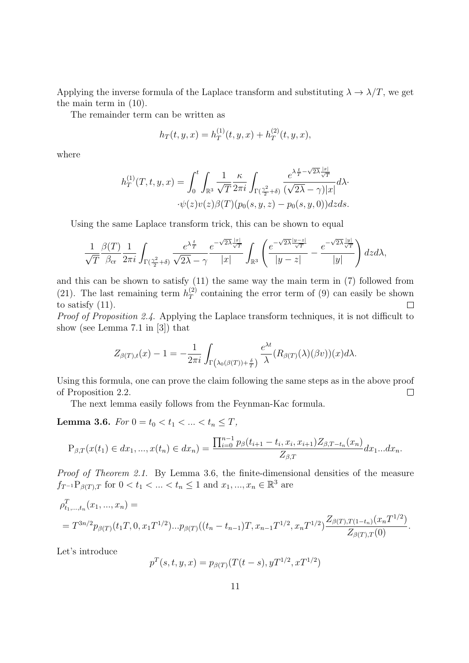Applying the inverse formula of the Laplace transform and substituting  $\lambda \to \lambda/T$ , we get the main term in (10).

The remainder term can be written as

$$
h_T(t, y, x) = h_T^{(1)}(t, y, x) + h_T^{(2)}(t, y, x),
$$

where

$$
h_T^{(1)}(T,t,y,x)=\int_0^t\int_{\mathbb{R}^3}\frac{1}{\sqrt{T}}\frac{\kappa}{2\pi i}\int_{\Gamma(\frac{\gamma^2}{2}+\delta)}\frac{e^{\lambda\frac{t}{T}-\sqrt{2\lambda}\frac{|x|}{\sqrt{T}}}}{(\sqrt{2\lambda}-\gamma)|x|}d\lambda\cdot\psi(z)v(z)\beta(T)(p_0(s,y,z)-p_0(s,y,0))dzds.
$$

Using the same Laplace transform trick, this can be shown to equal

$$
\frac{1}{\sqrt{T}}\frac{\beta(T)}{\beta_{\rm cr}}\frac{1}{2\pi i}\int_{\Gamma(\frac{\gamma^2}{2}+\delta)}\frac{e^{\lambda\frac{t}{T}}}{\sqrt{2\lambda}-\gamma}\frac{e^{-\sqrt{2\lambda}\frac{|x|}{\sqrt{T}}}}{|x|}\int_{\mathbb{R}^3}\left(\frac{e^{-\sqrt{2\lambda}\frac{|y-z|}{\sqrt{T}}}}{|y-z|}-\frac{e^{-\sqrt{2\lambda}\frac{|y|}{\sqrt{T}}}}{|y|}\right)dzd\lambda,
$$

and this can be shown to satisfy (11) the same way the main term in (7) followed from (21). The last remaining term  $h_T^{(2)}$  $T$ <sup>(2)</sup>) containing the error term of (9) can easily be shown to satisfy (11).  $\Box$ 

*Proof of Proposition 2.4*. Applying the Laplace transform techniques, it is not difficult to show (see Lemma 7.1 in [3]) that

$$
Z_{\beta(T),t}(x) - 1 = -\frac{1}{2\pi i} \int_{\Gamma(\lambda_0(\beta(T)) + \frac{\delta}{T})} \frac{e^{\lambda t}}{\lambda} (R_{\beta(T)}(\lambda)(\beta v))(x) d\lambda.
$$

Using this formula, one can prove the claim following the same steps as in the above proof of Proposition 2.2.  $\Box$ 

The next lemma easily follows from the Feynman-Kac formula.

**Lemma 3.6.** *For*  $0 = t_0 < t_1 < ... < t_n \leq T$ ,

$$
P_{\beta,T}(x(t_1)\in dx_1,...,x(t_n)\in dx_n)=\frac{\prod_{i=0}^{n-1}p_{\beta}(t_{i+1}-t_i,x_i,x_{i+1})Z_{\beta,T-t_n}(x_n)}{Z_{\beta,T}}dx_1...dx_n.
$$

*Proof of Theorem 2.1*. By Lemma 3.6, the finite-dimensional densities of the measure *f*<sub>*T*</sub>-1</sub>P<sub>*β*(*T*)*,T* for  $0 < t_1 < ... < t_n \leq 1$  and  $x_1, ..., x_n \in \mathbb{R}^3$  are</sub>

$$
\rho_{t_1,\dots,t_n}^T(x_1,\dots,x_n) =
$$
  
=  $T^{3n/2} p_{\beta(T)}(t_1,0,x_1,1^{1/2})\dots p_{\beta(T)}((t_n-t_{n-1})T,x_{n-1},1^{1/2},x_n,1^{1/2})\frac{Z_{\beta(T),T(1-t_n)}(x_n,1^{1/2})}{Z_{\beta(T),T}(0)}.$ 

Let's introduce

$$
p^{T}(s,t,y,x) = p_{\beta(T)}(T(t-s), yT^{1/2}, xT^{1/2})
$$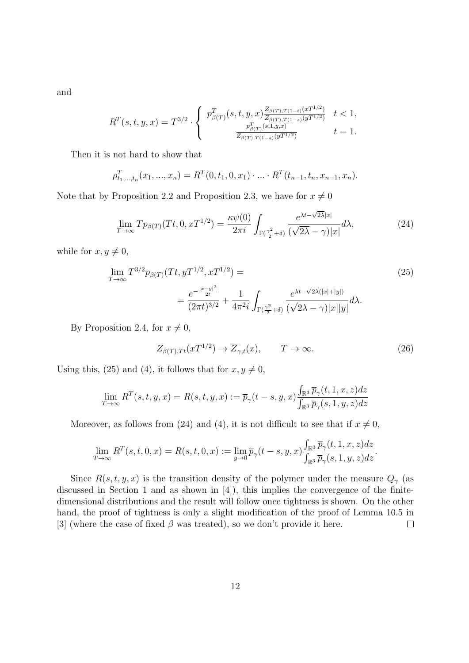and

$$
R^{T}(s,t,y,x) = T^{3/2} \cdot \begin{cases} p^{T}_{\beta(T)}(s,t,y,x) \frac{Z_{\beta(T),T(1-t)}(xT^{1/2})}{Z_{\beta(T),T(1-s)}(yT^{1/2})} & t < 1, \\ \frac{p^{T}_{\beta(T)}(s,1,y,x)}{Z_{\beta(T),T(1-s)}(yT^{1/2})} & t = 1. \end{cases}
$$

Then it is not hard to show that

$$
\rho_{t_1,\dots,t_n}^T(x_1,\dots,x_n) = R^T(0,t_1,0,x_1)\cdot \dots \cdot R^T(t_{n-1},t_n,x_{n-1},x_n).
$$

Note that by Proposition 2.2 and Proposition 2.3, we have for  $x \neq 0$ 

$$
\lim_{T \to \infty} T p_{\beta(T)}(Tt, 0, xT^{1/2}) = \frac{\kappa \psi(0)}{2\pi i} \int_{\Gamma(\frac{\gamma^2}{2} + \delta)} \frac{e^{\lambda t - \sqrt{2\lambda}|x|}}{(\sqrt{2\lambda} - \gamma)|x|} d\lambda,
$$
\n(24)

while for  $x, y \neq 0$ ,

$$
\lim_{T \to \infty} T^{3/2} p_{\beta(T)}(Tt, yT^{1/2}, xT^{1/2}) =
$$
\n
$$
= \frac{e^{-\frac{|x-y|^2}{2t}}}{(2\pi t)^{3/2}} + \frac{1}{4\pi^2 i} \int_{\Gamma(\frac{\gamma^2}{2} + \delta)} \frac{e^{\lambda t - \sqrt{2\lambda}(|x| + |y|)}}{(\sqrt{2\lambda} - \gamma)|x||y|} d\lambda.
$$
\n(25)

By Proposition 2.4, for  $x \neq 0$ ,

$$
Z_{\beta(T),Tt}(xT^{1/2}) \to \overline{Z}_{\gamma,t}(x), \qquad T \to \infty.
$$
 (26)

Using this, (25) and (4), it follows that for  $x, y \neq 0$ ,

$$
\lim_{T \to \infty} R^{T}(s,t,y,x) = R(s,t,y,x) := \overline{p}_{\gamma}(t-s,y,x) \frac{\int_{\mathbb{R}^{3}} \overline{p}_{\gamma}(t,1,x,z) dz}{\int_{\mathbb{R}^{3}} \overline{p}_{\gamma}(s,1,y,z) dz}
$$

Moreover, as follows from (24) and (4), it is not difficult to see that if  $x \neq 0$ ,

$$
\lim_{T\to\infty}R^T(s,t,0,x)=R(s,t,0,x):=\lim_{y\to 0}\overline{p}_{\gamma}(t-s,y,x)\frac{\int_{\mathbb{R}^3}\overline{p}_{\gamma}(t,1,x,z)dz}{\int_{\mathbb{R}^3}\overline{p}_{\gamma}(s,1,y,z)dz}.
$$

Since  $R(s, t, y, x)$  is the transition density of the polymer under the measure  $Q_\gamma$  (as discussed in Section 1 and as shown in [4]), this implies the convergence of the finitedimensional distributions and the result will follow once tightness is shown. On the other hand, the proof of tightness is only a slight modification of the proof of Lemma 10.5 in [3] (where the case of fixed  $\beta$  was treated), so we don't provide it here.  $\Box$